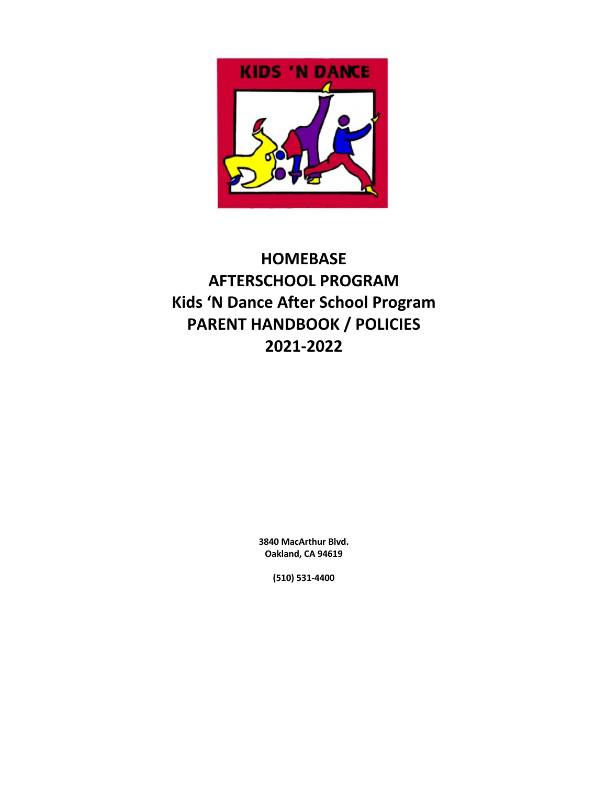

# **HOMEBASE AFTERSCHOOL PROGRAM Kids 'N Dance After School Program PARENT HANDBOOK / POLICIES 2021-2022**

**3840 MacArthur Blvd. Oakland, CA 94619**

**(510) 531-4400**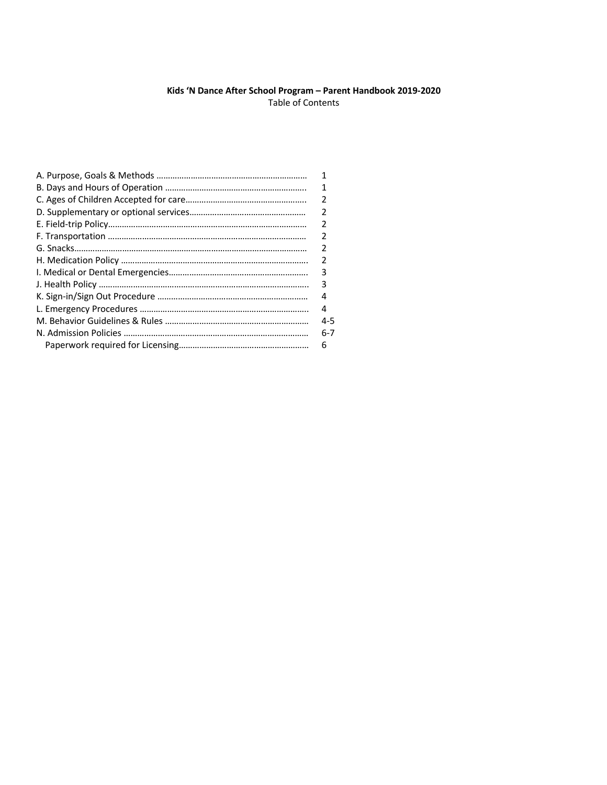# **Kids 'N Dance After School Program – Parent Handbook 2019-2020** Table of Contents

| 1             |
|---------------|
| 1             |
| 2             |
| $\mathcal{P}$ |
|               |
| 2             |
|               |
| 2             |
| 3             |
| 3             |
| 4             |
| 4             |
| 4-5           |
| 6-7           |
| 6             |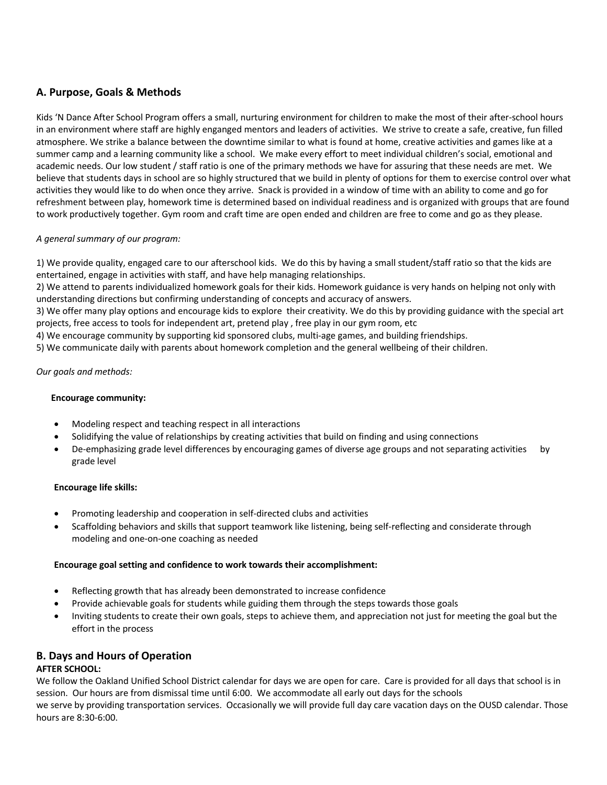# **A. Purpose, Goals & Methods**

Kids 'N Dance After School Program offers a small, nurturing environment for children to make the most of their after-school hours in an environment where staff are highly enganged mentors and leaders of activities. We strive to create a safe, creative, fun filled atmosphere. We strike a balance between the downtime similar to what is found at home, creative activities and games like at a summer camp and a learning community like a school. We make every effort to meet individual children's social, emotional and academic needs. Our low student / staff ratio is one of the primary methods we have for assuring that these needs are met. We believe that students days in school are so highly structured that we build in plenty of options for them to exercise control over what activities they would like to do when once they arrive. Snack is provided in a window of time with an ability to come and go for refreshment between play, homework time is determined based on individual readiness and is organized with groups that are found to work productively together. Gym room and craft time are open ended and children are free to come and go as they please.

# *A general summary of our program:*

1) We provide quality, engaged care to our afterschool kids. We do this by having a small student/staff ratio so that the kids are entertained, engage in activities with staff, and have help managing relationships.

2) We attend to parents individualized homework goals for their kids. Homework guidance is very hands on helping not only with understanding directions but confirming understanding of concepts and accuracy of answers.

3) We offer many play options and encourage kids to explore their creativity. We do this by providing guidance with the special art projects, free access to tools for independent art, pretend play , free play in our gym room, etc

4) We encourage community by supporting kid sponsored clubs, multi-age games, and building friendships.

5) We communicate daily with parents about homework completion and the general wellbeing of their children.

# *Our goals and methods:*

### **Encourage community:**

- Modeling respect and teaching respect in all interactions
- Solidifying the value of relationships by creating activities that build on finding and using connections
- De-emphasizing grade level differences by encouraging games of diverse age groups and not separating activities by grade level

#### **Encourage life skills:**

- Promoting leadership and cooperation in self-directed clubs and activities
- Scaffolding behaviors and skills that support teamwork like listening, being self-reflecting and considerate through modeling and one-on-one coaching as needed

#### **Encourage goal setting and confidence to work towards their accomplishment:**

- Reflecting growth that has already been demonstrated to increase confidence
- Provide achievable goals for students while guiding them through the steps towards those goals
- Inviting students to create their own goals, steps to achieve them, and appreciation not just for meeting the goal but the effort in the process

# **B. Days and Hours of Operation**

#### **AFTER SCHOOL:**

We follow the Oakland Unified School District calendar for days we are open for care. Care is provided for all days that school is in session. Our hours are from dismissal time until 6:00. We accommodate all early out days for the schools

we serve by providing transportation services. Occasionally we will provide full day care vacation days on the OUSD calendar. Those hours are 8:30-6:00.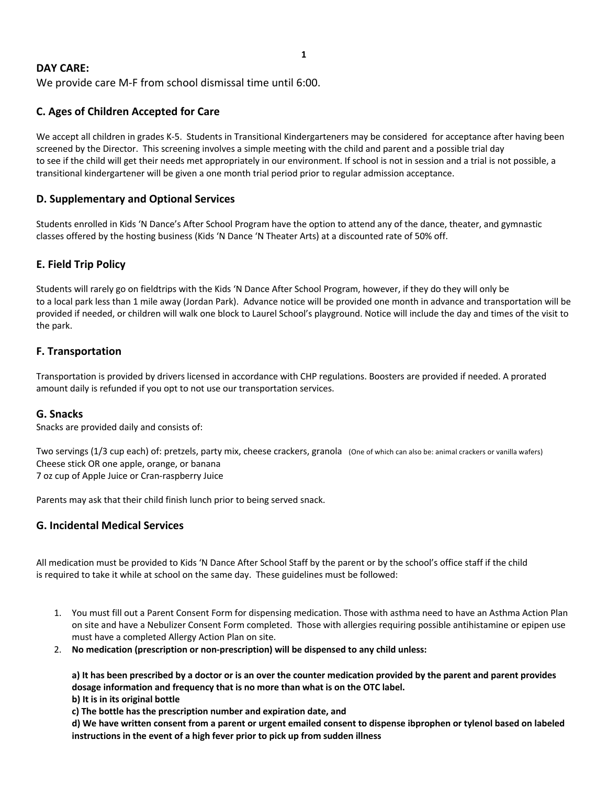#### **1**

# **DAY CARE:**

We provide care M-F from school dismissal time until 6:00.

# **C. Ages of Children Accepted for Care**

We accept all children in grades K-5. Students in Transitional Kindergarteners may be considered for acceptance after having been screened by the Director. This screening involves a simple meeting with the child and parent and a possible trial day to see if the child will get their needs met appropriately in our environment. If school is not in session and a trial is not possible, a transitional kindergartener will be given a one month trial period prior to regular admission acceptance.

# **D. Supplementary and Optional Services**

Students enrolled in Kids 'N Dance's After School Program have the option to attend any of the dance, theater, and gymnastic classes offered by the hosting business (Kids 'N Dance 'N Theater Arts) at a discounted rate of 50% off.

# **E. Field Trip Policy**

Students will rarely go on fieldtrips with the Kids 'N Dance After School Program, however, if they do they will only be to a local park less than 1 mile away (Jordan Park). Advance notice will be provided one month in advance and transportation will be provided if needed, or children will walk one block to Laurel School's playground. Notice will include the day and times of the visit to the park.

# **F. Transportation**

Transportation is provided by drivers licensed in accordance with CHP regulations. Boosters are provided if needed. A prorated amount daily is refunded if you opt to not use our transportation services.

# **G. Snacks**

Snacks are provided daily and consists of:

Two servings (1/3 cup each) of: pretzels, party mix, cheese crackers, granola (One of which can also be: animal crackers or vanilla wafers) Cheese stick OR one apple, orange, or banana 7 oz cup of Apple Juice or Cran-raspberry Juice

Parents may ask that their child finish lunch prior to being served snack.

# **G. Incidental Medical Services**

All medication must be provided to Kids 'N Dance After School Staff by the parent or by the school's office staff if the child is required to take it while at school on the same day. These guidelines must be followed:

- 1. You must fill out a Parent Consent Form for dispensing medication. Those with asthma need to have an Asthma Action Plan on site and have a Nebulizer Consent Form completed. Those with allergies requiring possible antihistamine or epipen use must have a completed Allergy Action Plan on site.
- 2. **No medication (prescription or non-prescription) will be dispensed to any child unless:**

**a) It has been prescribed by a doctor or is an over the counter medication provided by the parent and parent provides dosage information and frequency that is no more than what is on the OTC label.**

**b) It is in its original bottle**

**c) The bottle has the prescription number and expiration date, and** 

**d) We have written consent from a parent or urgent emailed consent to dispense ibprophen or tylenol based on labeled instructions in the event of a high fever prior to pick up from sudden illness**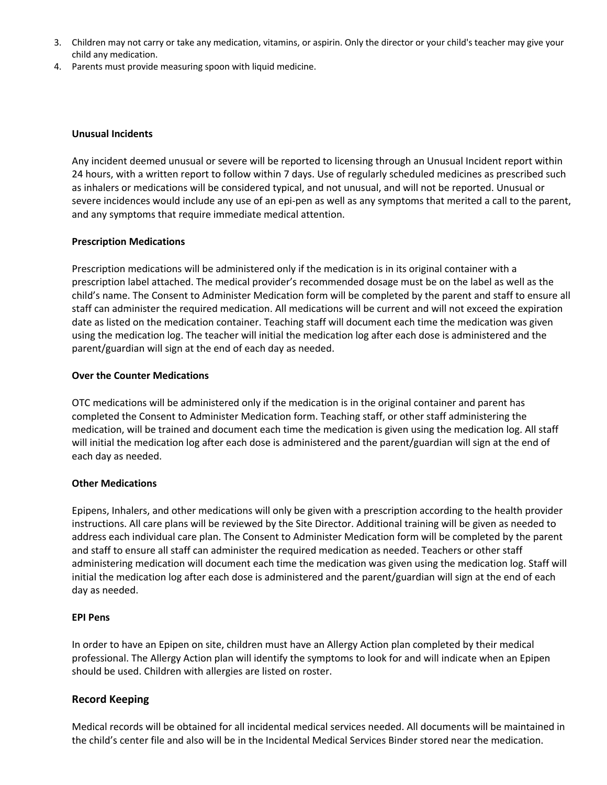- 3. Children may not carry or take any medication, vitamins, or aspirin. Only the director or your child's teacher may give your child any medication.
- 4. Parents must provide measuring spoon with liquid medicine.

# **Unusual Incidents**

Any incident deemed unusual or severe will be reported to licensing through an Unusual Incident report within 24 hours, with a written report to follow within 7 days. Use of regularly scheduled medicines as prescribed such as inhalers or medications will be considered typical, and not unusual, and will not be reported. Unusual or severe incidences would include any use of an epi-pen as well as any symptoms that merited a call to the parent, and any symptoms that require immediate medical attention.

# **Prescription Medications**

Prescription medications will be administered only if the medication is in its original container with a prescription label attached. The medical provider's recommended dosage must be on the label as well as the child's name. The Consent to Administer Medication form will be completed by the parent and staff to ensure all staff can administer the required medication. All medications will be current and will not exceed the expiration date as listed on the medication container. Teaching staff will document each time the medication was given using the medication log. The teacher will initial the medication log after each dose is administered and the parent/guardian will sign at the end of each day as needed.

# **Over the Counter Medications**

OTC medications will be administered only if the medication is in the original container and parent has completed the Consent to Administer Medication form. Teaching staff, or other staff administering the medication, will be trained and document each time the medication is given using the medication log. All staff will initial the medication log after each dose is administered and the parent/guardian will sign at the end of each day as needed.

#### **Other Medications**

Epipens, Inhalers, and other medications will only be given with a prescription according to the health provider instructions. All care plans will be reviewed by the Site Director. Additional training will be given as needed to address each individual care plan. The Consent to Administer Medication form will be completed by the parent and staff to ensure all staff can administer the required medication as needed. Teachers or other staff administering medication will document each time the medication was given using the medication log. Staff will initial the medication log after each dose is administered and the parent/guardian will sign at the end of each day as needed.

#### **EPI Pens**

In order to have an Epipen on site, children must have an Allergy Action plan completed by their medical professional. The Allergy Action plan will identify the symptoms to look for and will indicate when an Epipen should be used. Children with allergies are listed on roster.

# **Record Keeping**

Medical records will be obtained for all incidental medical services needed. All documents will be maintained in the child's center file and also will be in the Incidental Medical Services Binder stored near the medication.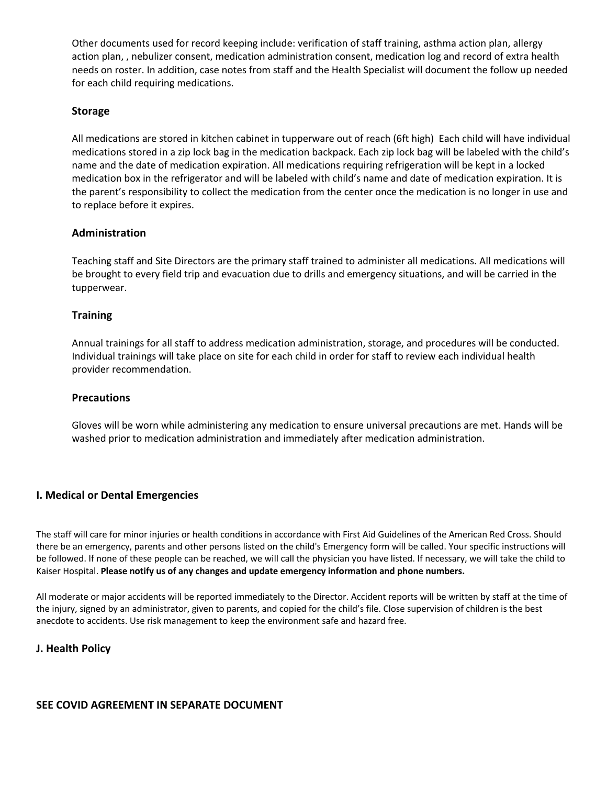Other documents used for record keeping include: verification of staff training, asthma action plan, allergy action plan, , nebulizer consent, medication administration consent, medication log and record of extra health needs on roster. In addition, case notes from staff and the Health Specialist will document the follow up needed for each child requiring medications.

# **Storage**

All medications are stored in kitchen cabinet in tupperware out of reach (6ft high) Each child will have individual medications stored in a zip lock bag in the medication backpack. Each zip lock bag will be labeled with the child's name and the date of medication expiration. All medications requiring refrigeration will be kept in a locked medication box in the refrigerator and will be labeled with child's name and date of medication expiration. It is the parent's responsibility to collect the medication from the center once the medication is no longer in use and to replace before it expires.

# **Administration**

Teaching staff and Site Directors are the primary staff trained to administer all medications. All medications will be brought to every field trip and evacuation due to drills and emergency situations, and will be carried in the tupperwear.

# **Training**

Annual trainings for all staff to address medication administration, storage, and procedures will be conducted. Individual trainings will take place on site for each child in order for staff to review each individual health provider recommendation.

### **Precautions**

Gloves will be worn while administering any medication to ensure universal precautions are met. Hands will be washed prior to medication administration and immediately after medication administration.

# **I. Medical or Dental Emergencies**

The staff will care for minor injuries or health conditions in accordance with First Aid Guidelines of the American Red Cross. Should there be an emergency, parents and other persons listed on the child's Emergency form will be called. Your specific instructions will be followed. If none of these people can be reached, we will call the physician you have listed. If necessary, we will take the child to Kaiser Hospital. **Please notify us of any changes and update emergency information and phone numbers.**

All moderate or major accidents will be reported immediately to the Director. Accident reports will be written by staff at the time of the injury, signed by an administrator, given to parents, and copied for the child's file. Close supervision of children is the best anecdote to accidents. Use risk management to keep the environment safe and hazard free.

### **J. Health Policy**

# **SEE COVID AGREEMENT IN SEPARATE DOCUMENT**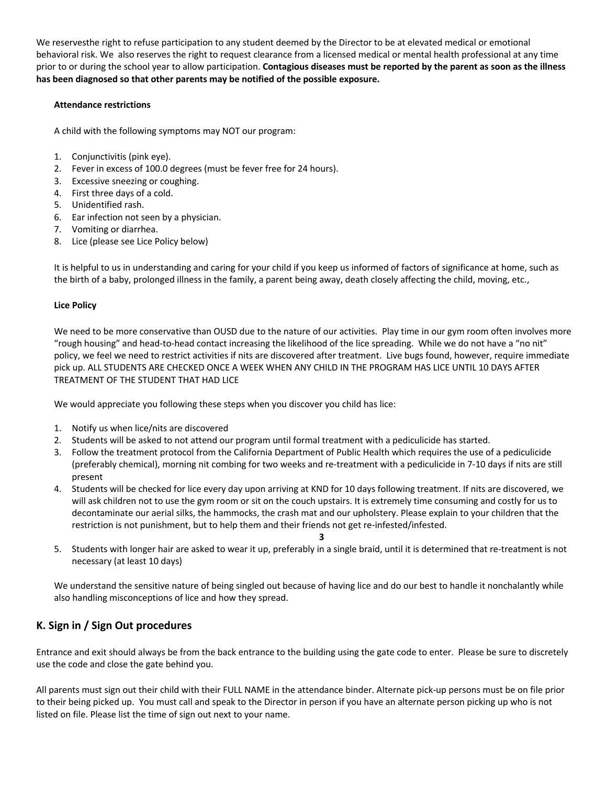We reservesthe right to refuse participation to any student deemed by the Director to be at elevated medical or emotional behavioral risk. We also reserves the right to request clearance from a licensed medical or mental health professional at any time prior to or during the school year to allow participation. **Contagious diseases must be reported by the parent as soon as the illness has been diagnosed so that other parents may be notified of the possible exposure.** 

### **Attendance restrictions**

A child with the following symptoms may NOT our program:

- 1. Conjunctivitis (pink eye).
- 2. Fever in excess of 100.0 degrees (must be fever free for 24 hours).
- 3. Excessive sneezing or coughing.
- 4. First three days of a cold.
- 5. Unidentified rash.
- 6. Ear infection not seen by a physician.
- 7. Vomiting or diarrhea.
- 8. Lice (please see Lice Policy below)

It is helpful to us in understanding and caring for your child if you keep us informed of factors of significance at home, such as the birth of a baby, prolonged illness in the family, a parent being away, death closely affecting the child, moving, etc.,

# **Lice Policy**

We need to be more conservative than OUSD due to the nature of our activities. Play time in our gym room often involves more "rough housing" and head-to-head contact increasing the likelihood of the lice spreading. While we do not have a "no nit" policy, we feel we need to restrict activities if nits are discovered after treatment. Live bugs found, however, require immediate pick up. ALL STUDENTS ARE CHECKED ONCE A WEEK WHEN ANY CHILD IN THE PROGRAM HAS LICE UNTIL 10 DAYS AFTER TREATMENT OF THE STUDENT THAT HAD LICE

We would appreciate you following these steps when you discover you child has lice:

- 1. Notify us when lice/nits are discovered
- 2. Students will be asked to not attend our program until formal treatment with a pediculicide has started.
- 3. Follow the treatment protocol from the California Department of Public Health which requires the use of a pediculicide (preferably chemical), morning nit combing for two weeks and re-treatment with a pediculicide in 7-10 days if nits are still present
- 4. Students will be checked for lice every day upon arriving at KND for 10 days following treatment. If nits are discovered, we will ask children not to use the gym room or sit on the couch upstairs. It is extremely time consuming and costly for us to decontaminate our aerial silks, the hammocks, the crash mat and our upholstery. Please explain to your children that the restriction is not punishment, but to help them and their friends not get re-infested/infested.
	- **3**
- 5. Students with longer hair are asked to wear it up, preferably in a single braid, until it is determined that re-treatment is not necessary (at least 10 days)

We understand the sensitive nature of being singled out because of having lice and do our best to handle it nonchalantly while also handling misconceptions of lice and how they spread.

# **K. Sign in / Sign Out procedures**

Entrance and exit should always be from the back entrance to the building using the gate code to enter. Please be sure to discretely use the code and close the gate behind you.

All parents must sign out their child with their FULL NAME in the attendance binder. Alternate pick-up persons must be on file prior to their being picked up. You must call and speak to the Director in person if you have an alternate person picking up who is not listed on file. Please list the time of sign out next to your name.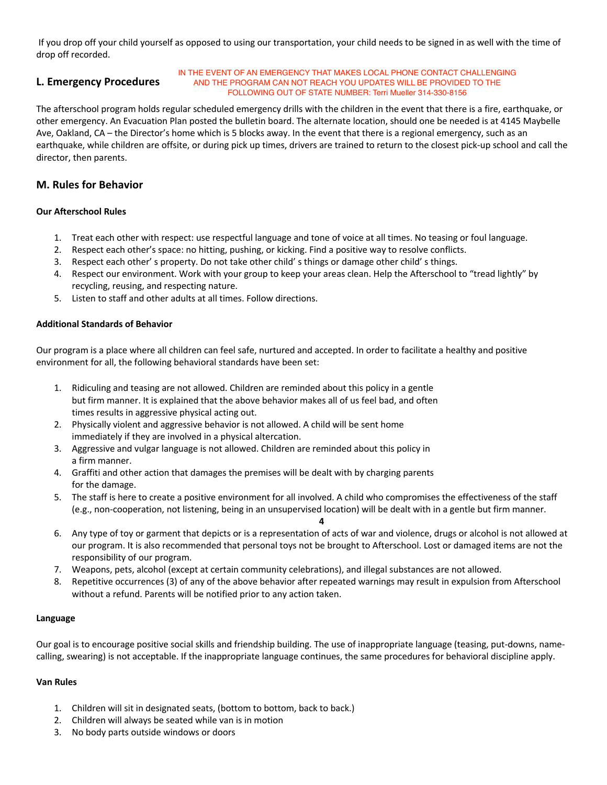If you drop off your child yourself as opposed to using our transportation, your child needs to be signed in as well with the time of drop off recorded.

# **L. Emergency Procedures**

#### IN THE EVENT OF AN EMERGENCY THAT MAKES LOCAL PHONE CONTACT CHALLENGING AND THE PROGRAM CAN NOT REACH YOU UPDATES WILL BE PROVIDED TO THE FOLLOWING OUT OF STATE NUMBER: Terri Mueller 314-330-8156

The afterschool program holds regular scheduled emergency drills with the children in the event that there is a fire, earthquake, or other emergency. An Evacuation Plan posted the bulletin board. The alternate location, should one be needed is at 4145 Maybelle Ave, Oakland, CA – the Director's home which is 5 blocks away. In the event that there is a regional emergency, such as an earthquake, while children are offsite, or during pick up times, drivers are trained to return to the closest pick-up school and call the director, then parents.

# **M. Rules for Behavior**

#### **Our Afterschool Rules**

- 1. Treat each other with respect: use respectful language and tone of voice at all times. No teasing or foul language.
- 2. Respect each other's space: no hitting, pushing, or kicking. Find a positive way to resolve conflicts.
- 3. Respect each other' s property. Do not take other child' s things or damage other child' s things.
- 4. Respect our environment. Work with your group to keep your areas clean. Help the Afterschool to "tread lightly" by recycling, reusing, and respecting nature.
- 5. Listen to staff and other adults at all times. Follow directions.

#### **Additional Standards of Behavior**

Our program is a place where all children can feel safe, nurtured and accepted. In order to facilitate a healthy and positive environment for all, the following behavioral standards have been set:

- 1. Ridiculing and teasing are not allowed. Children are reminded about this policy in a gentle but firm manner. It is explained that the above behavior makes all of us feel bad, and often times results in aggressive physical acting out.
- 2. Physically violent and aggressive behavior is not allowed. A child will be sent home immediately if they are involved in a physical altercation.
- 3. Aggressive and vulgar language is not allowed. Children are reminded about this policy in a firm manner.
- 4. Graffiti and other action that damages the premises will be dealt with by charging parents for the damage.
- 5. The staff is here to create a positive environment for all involved. A child who compromises the effectiveness of the staff (e.g., non-cooperation, not listening, being in an unsupervised location) will be dealt with in a gentle but firm manner.
- **4** 6. Any type of toy or garment that depicts or is a representation of acts of war and violence, drugs or alcohol is not allowed at our program. It is also recommended that personal toys not be brought to Afterschool. Lost or damaged items are not the responsibility of our program.
- 7. Weapons, pets, alcohol (except at certain community celebrations), and illegal substances are not allowed.
- 8. Repetitive occurrences (3) of any of the above behavior after repeated warnings may result in expulsion from Afterschool without a refund. Parents will be notified prior to any action taken.

#### **Language**

Our goal is to encourage positive social skills and friendship building. The use of inappropriate language (teasing, put-downs, namecalling, swearing) is not acceptable. If the inappropriate language continues, the same procedures for behavioral discipline apply.

#### **Van Rules**

- 1. Children will sit in designated seats, (bottom to bottom, back to back.)
- 2. Children will always be seated while van is in motion
- 3. No body parts outside windows or doors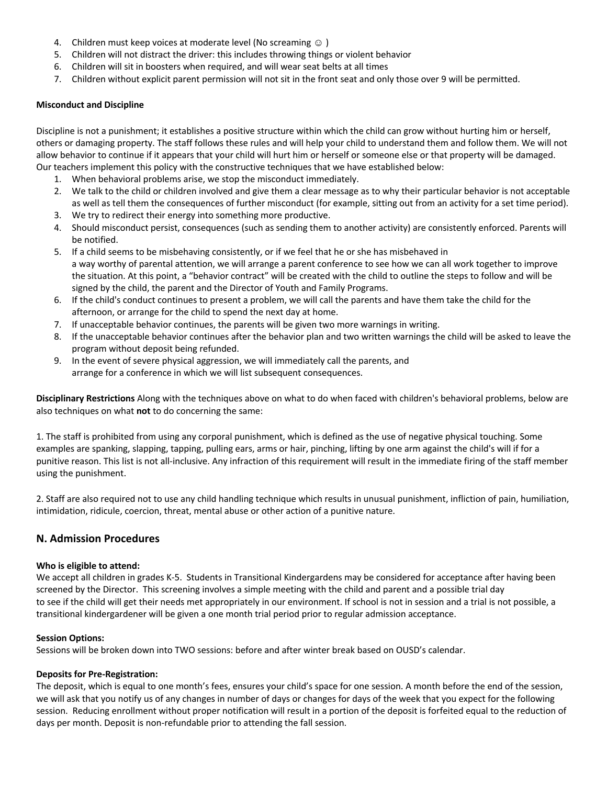- 4. Children must keep voices at moderate level (No screaming  $\circledcirc$ )
- 5. Children will not distract the driver: this includes throwing things or violent behavior
- 6. Children will sit in boosters when required, and will wear seat belts at all times
- 7. Children without explicit parent permission will not sit in the front seat and only those over 9 will be permitted.

#### **Misconduct and Discipline**

Discipline is not a punishment; it establishes a positive structure within which the child can grow without hurting him or herself, others or damaging property. The staff follows these rules and will help your child to understand them and follow them. We will not allow behavior to continue if it appears that your child will hurt him or herself or someone else or that property will be damaged. Our teachers implement this policy with the constructive techniques that we have established below:

- 1. When behavioral problems arise, we stop the misconduct immediately.
- 2. We talk to the child or children involved and give them a clear message as to why their particular behavior is not acceptable as well as tell them the consequences of further misconduct (for example, sitting out from an activity for a set time period).
- 3. We try to redirect their energy into something more productive.
- 4. Should misconduct persist, consequences (such as sending them to another activity) are consistently enforced. Parents will be notified.
- 5. If a child seems to be misbehaving consistently, or if we feel that he or she has misbehaved in a way worthy of parental attention, we will arrange a parent conference to see how we can all work together to improve the situation. At this point, a "behavior contract" will be created with the child to outline the steps to follow and will be signed by the child, the parent and the Director of Youth and Family Programs.
- 6. If the child's conduct continues to present a problem, we will call the parents and have them take the child for the afternoon, or arrange for the child to spend the next day at home.
- 7. If unacceptable behavior continues, the parents will be given two more warnings in writing.
- 8. If the unacceptable behavior continues after the behavior plan and two written warnings the child will be asked to leave the program without deposit being refunded.
- 9. In the event of severe physical aggression, we will immediately call the parents, and arrange for a conference in which we will list subsequent consequences.

**Disciplinary Restrictions** Along with the techniques above on what to do when faced with children's behavioral problems, below are also techniques on what **not** to do concerning the same:

1. The staff is prohibited from using any corporal punishment, which is defined as the use of negative physical touching. Some examples are spanking, slapping, tapping, pulling ears, arms or hair, pinching, lifting by one arm against the child's will if for a punitive reason. This list is not all-inclusive. Any infraction of this requirement will result in the immediate firing of the staff member using the punishment.

2. Staff are also required not to use any child handling technique which results in unusual punishment, infliction of pain, humiliation, intimidation, ridicule, coercion, threat, mental abuse or other action of a punitive nature.

# **N. Admission Procedures**

#### **Who is eligible to attend:**

We accept all children in grades K-5. Students in Transitional Kindergardens may be considered for acceptance after having been screened by the Director. This screening involves a simple meeting with the child and parent and a possible trial day to see if the child will get their needs met appropriately in our environment. If school is not in session and a trial is not possible, a transitional kindergardener will be given a one month trial period prior to regular admission acceptance.

#### **Session Options:**

Sessions will be broken down into TWO sessions: before and after winter break based on OUSD's calendar.

#### **Deposits for Pre-Registration:**

The deposit, which is equal to one month's fees, ensures your child's space for one session. A month before the end of the session, we will ask that you notify us of any changes in number of days or changes for days of the week that you expect for the following session. Reducing enrollment without proper notification will result in a portion of the deposit is forfeited equal to the reduction of days per month. Deposit is non-refundable prior to attending the fall session.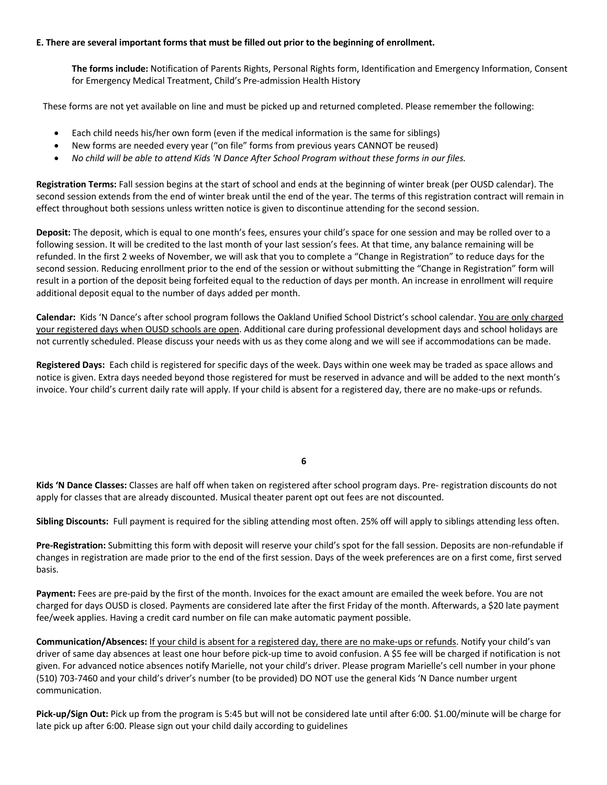#### **E. There are several important forms that must be filled out prior to the beginning of enrollment.**

**The forms include:** Notification of Parents Rights, Personal Rights form, Identification and Emergency Information, Consent for Emergency Medical Treatment, Child's Pre-admission Health History

These forms are not yet available on line and must be picked up and returned completed. Please remember the following:

- Each child needs his/her own form (even if the medical information is the same for siblings)
- New forms are needed every year ("on file" forms from previous years CANNOT be reused)
- *No child will be able to attend Kids 'N Dance After School Program without these forms in our files.*

**Registration Terms:** Fall session begins at the start of school and ends at the beginning of winter break (per OUSD calendar). The second session extends from the end of winter break until the end of the year. The terms of this registration contract will remain in effect throughout both sessions unless written notice is given to discontinue attending for the second session.

**Deposit:** The deposit, which is equal to one month's fees, ensures your child's space for one session and may be rolled over to a following session. It will be credited to the last month of your last session's fees. At that time, any balance remaining will be refunded. In the first 2 weeks of November, we will ask that you to complete a "Change in Registration" to reduce days for the second session. Reducing enrollment prior to the end of the session or without submitting the "Change in Registration" form will result in a portion of the deposit being forfeited equal to the reduction of days per month. An increase in enrollment will require additional deposit equal to the number of days added per month.

**Calendar:** Kids 'N Dance's after school program follows the Oakland Unified School District's school calendar. You are only charged your registered days when OUSD schools are open. Additional care during professional development days and school holidays are not currently scheduled. Please discuss your needs with us as they come along and we will see if accommodations can be made.

**Registered Days:** Each child is registered for specific days of the week. Days within one week may be traded as space allows and notice is given. Extra days needed beyond those registered for must be reserved in advance and will be added to the next month's invoice. Your child's current daily rate will apply. If your child is absent for a registered day, there are no make-ups or refunds.

**6**

**Kids 'N Dance Classes:** Classes are half off when taken on registered after school program days. Pre- registration discounts do not apply for classes that are already discounted. Musical theater parent opt out fees are not discounted.

**Sibling Discounts:** Full payment is required for the sibling attending most often. 25% off will apply to siblings attending less often.

**Pre-Registration:** Submitting this form with deposit will reserve your child's spot for the fall session. Deposits are non-refundable if changes in registration are made prior to the end of the first session. Days of the week preferences are on a first come, first served basis.

**Payment:** Fees are pre-paid by the first of the month. Invoices for the exact amount are emailed the week before. You are not charged for days OUSD is closed. Payments are considered late after the first Friday of the month. Afterwards, a \$20 late payment fee/week applies. Having a credit card number on file can make automatic payment possible.

**Communication/Absences:** If your child is absent for a registered day, there are no make-ups or refunds. Notify your child's van driver of same day absences at least one hour before pick-up time to avoid confusion. A \$5 fee will be charged if notification is not given. For advanced notice absences notify Marielle, not your child's driver. Please program Marielle's cell number in your phone (510) 703-7460 and your child's driver's number (to be provided) DO NOT use the general Kids 'N Dance number urgent communication.

**Pick-up/Sign Out:** Pick up from the program is 5:45 but will not be considered late until after 6:00. \$1.00/minute will be charge for late pick up after 6:00. Please sign out your child daily according to guidelines